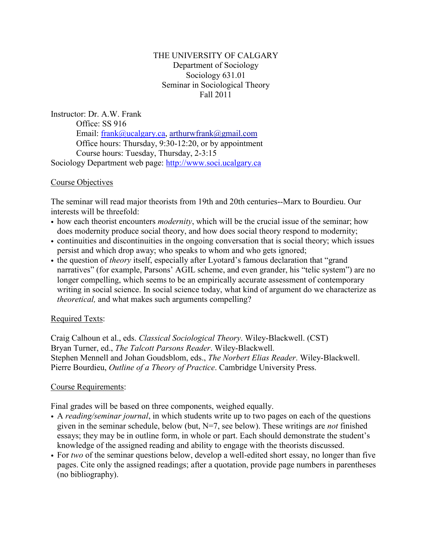## THE UNIVERSITY OF CALGARY Department of Sociology Sociology 631.01 Seminar in Sociological Theory Fall 2011

Instructor: Dr. A.W. Frank Office: SS 916 Email: [frank@ucalgary.ca,](mailto:frank@ucalgary.ca) [arthurwfrank@gmail.com](mailto:arthurwfrank@gmail.com) Office hours: Thursday, 9:30-12:20, or by appointment Course hours: Tuesday, Thursday, 2-3:15 Sociology Department web page: [http://www.soci.ucalgary.ca](http://www.soci.ucalgary.ca/)

## Course Objectives

The seminar will read major theorists from 19th and 20th centuries--Marx to Bourdieu. Our interests will be threefold:

- how each theorist encounters *modernity*, which will be the crucial issue of the seminar; how does modernity produce social theory, and how does social theory respond to modernity;
- continuities and discontinuities in the ongoing conversation that is social theory; which issues persist and which drop away; who speaks to whom and who gets ignored;
- the question of *theory* itself, especially after Lyotard's famous declaration that "grand" narratives" (for example, Parsons' AGIL scheme, and even grander, his "telic system") are no longer compelling, which seems to be an empirically accurate assessment of contemporary writing in social science. In social science today, what kind of argument do we characterize as *theoretical,* and what makes such arguments compelling?

# Required Texts:

Craig Calhoun et al., eds. *Classical Sociological Theory*. Wiley-Blackwell. (CST) Bryan Turner, ed., *The Talcott Parsons Reader*. Wiley-Blackwell. Stephen Mennell and Johan Goudsblom, eds., *The Norbert Elias Reader*. Wiley-Blackwell. Pierre Bourdieu, *Outline of a Theory of Practice*. Cambridge University Press.

## Course Requirements:

Final grades will be based on three components, weighed equally.

- A *reading/seminar journal*, in which students write up to two pages on each of the questions given in the seminar schedule, below (but, N=7, see below). These writings are *not* finished essays; they may be in outline form, in whole or part. Each should demonstrate the student's knowledge of the assigned reading and ability to engage with the theorists discussed.
- For *two* of the seminar questions below, develop a well-edited short essay, no longer than five pages. Cite only the assigned readings; after a quotation, provide page numbers in parentheses (no bibliography).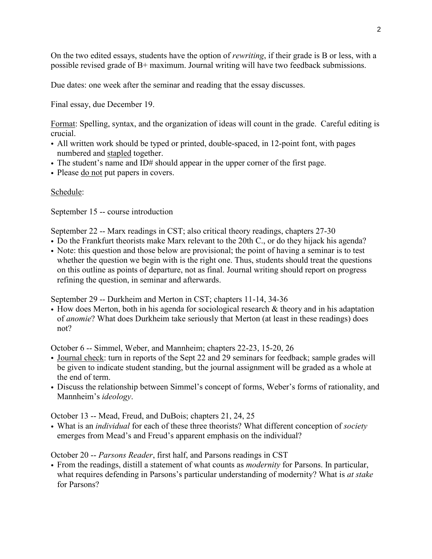On the two edited essays, students have the option of *rewriting*, if their grade is B or less, with a possible revised grade of B+ maximum. Journal writing will have two feedback submissions.

Due dates: one week after the seminar and reading that the essay discusses.

Final essay, due December 19.

Format: Spelling, syntax, and the organization of ideas will count in the grade. Careful editing is crucial.

- All written work should be typed or printed, double-spaced, in 12-point font, with pages numbered and stapled together.
- The student's name and ID# should appear in the upper corner of the first page.
- Please do not put papers in covers.

## Schedule:

September 15 -- course introduction

September 22 -- Marx readings in CST; also critical theory readings, chapters 27-30

- Do the Frankfurt theorists make Marx relevant to the 20th C., or do they hijack his agenda?
- Note: this question and those below are provisional; the point of having a seminar is to test whether the question we begin with is the right one. Thus, students should treat the questions on this outline as points of departure, not as final. Journal writing should report on progress refining the question, in seminar and afterwards.

September 29 -- Durkheim and Merton in CST; chapters 11-14, 34-36

• How does Merton, both in his agenda for sociological research  $\&$  theory and in his adaptation of *anomie*? What does Durkheim take seriously that Merton (at least in these readings) does not?

October 6 -- Simmel, Weber, and Mannheim; chapters 22-23, 15-20, 26

- Journal check: turn in reports of the Sept 22 and 29 seminars for feedback; sample grades will be given to indicate student standing, but the journal assignment will be graded as a whole at the end of term.
- Discuss the relationship between Simmel's concept of forms, Weber's forms of rationality, and Mannheim's *ideology*.

October 13 -- Mead, Freud, and DuBois; chapters 21, 24, 25

• What is an *individual* for each of these three theorists? What different conception of *society* emerges from Mead's and Freud's apparent emphasis on the individual?

October 20 -- *Parsons Reader*, first half, and Parsons readings in CST

• From the readings, distill a statement of what counts as *modernity* for Parsons. In particular, what requires defending in Parsons's particular understanding of modernity? What is *at stake* for Parsons?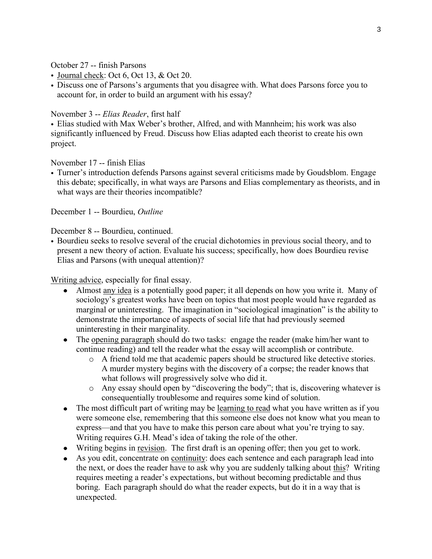October 27 -- finish Parsons

- Journal check: Oct 6, Oct 13, & Oct 20.
- Discuss one of Parsons's arguments that you disagree with. What does Parsons force you to account for, in order to build an argument with his essay?

November 3 -- *Elias Reader*, first half

• Elias studied with Max Weber's brother, Alfred, and with Mannheim; his work was also significantly influenced by Freud. Discuss how Elias adapted each theorist to create his own project.

November 17 -- finish Elias

• Turner's introduction defends Parsons against several criticisms made by Goudsblom. Engage this debate; specifically, in what ways are Parsons and Elias complementary as theorists, and in what ways are their theories incompatible?

December 1 -- Bourdieu, *Outline*

December 8 -- Bourdieu, continued.

• Bourdieu seeks to resolve several of the crucial dichotomies in previous social theory, and to present a new theory of action. Evaluate his success; specifically, how does Bourdieu revise Elias and Parsons (with unequal attention)?

Writing advice, especially for final essay.

- Almost any idea is a potentially good paper; it all depends on how you write it. Many of sociology's greatest works have been on topics that most people would have regarded as marginal or uninteresting. The imagination in "sociological imagination" is the ability to demonstrate the importance of aspects of social life that had previously seemed uninteresting in their marginality.
- The opening paragraph should do two tasks: engage the reader (make him/her want to continue reading) and tell the reader what the essay will accomplish or contribute.
	- o A friend told me that academic papers should be structured like detective stories. A murder mystery begins with the discovery of a corpse; the reader knows that what follows will progressively solve who did it.
	- o Any essay should open by "discovering the body"; that is, discovering whatever is consequentially troublesome and requires some kind of solution.
- The most difficult part of writing may be learning to read what you have written as if you were someone else, remembering that this someone else does not know what you mean to express—and that you have to make this person care about what you're trying to say. Writing requires G.H. Mead's idea of taking the role of the other.
- Writing begins in revision. The first draft is an opening offer; then you get to work.
- As you edit, concentrate on continuity: does each sentence and each paragraph lead into the next, or does the reader have to ask why you are suddenly talking about this? Writing requires meeting a reader's expectations, but without becoming predictable and thus boring. Each paragraph should do what the reader expects, but do it in a way that is unexpected.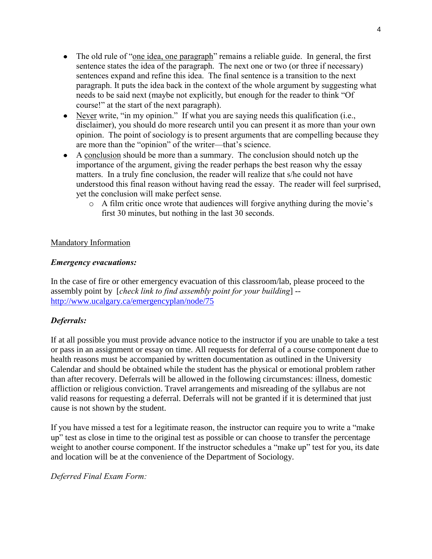- The old rule of "one idea, one paragraph" remains a reliable guide. In general, the first sentence states the idea of the paragraph. The next one or two (or three if necessary) sentences expand and refine this idea. The final sentence is a transition to the next paragraph. It puts the idea back in the context of the whole argument by suggesting what needs to be said next (maybe not explicitly, but enough for the reader to think "Of course!" at the start of the next paragraph).
- Never write, "in my opinion." If what you are saying needs this qualification (i.e., disclaimer), you should do more research until you can present it as more than your own opinion. The point of sociology is to present arguments that are compelling because they are more than the "opinion" of the writer—that's science.
- A conclusion should be more than a summary. The conclusion should notch up the importance of the argument, giving the reader perhaps the best reason why the essay matters. In a truly fine conclusion, the reader will realize that s/he could not have understood this final reason without having read the essay. The reader will feel surprised, yet the conclusion will make perfect sense.
	- o A film critic once wrote that audiences will forgive anything during the movie's first 30 minutes, but nothing in the last 30 seconds.

## Mandatory Information

#### *Emergency evacuations:*

In the case of fire or other emergency evacuation of this classroom/lab, please proceed to the assembly point by [*check link to find assembly point for your building*] - <http://www.ucalgary.ca/emergencyplan/node/75>

## *Deferrals:*

If at all possible you must provide advance notice to the instructor if you are unable to take a test or pass in an assignment or essay on time. All requests for deferral of a course component due to health reasons must be accompanied by written documentation as outlined in the University Calendar and should be obtained while the student has the physical or emotional problem rather than after recovery. Deferrals will be allowed in the following circumstances: illness, domestic affliction or religious conviction. Travel arrangements and misreading of the syllabus are not valid reasons for requesting a deferral. Deferrals will not be granted if it is determined that just cause is not shown by the student.

If you have missed a test for a legitimate reason, the instructor can require you to write a "make up" test as close in time to the original test as possible or can choose to transfer the percentage weight to another course component. If the instructor schedules a "make up" test for you, its date and location will be at the convenience of the Department of Sociology.

*Deferred Final Exam Form:*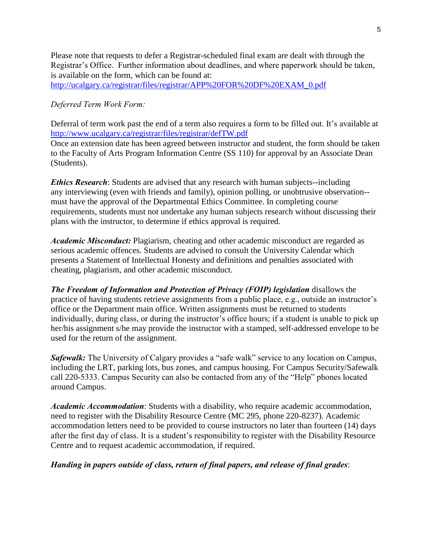Please note that requests to defer a Registrar-scheduled final exam are dealt with through the Registrar's Office. Further information about deadlines, and where paperwork should be taken, is available on the form, which can be found at: [http://ucalgary.ca/registrar/files/registrar/APP%20FOR%20DF%20EXAM\\_0.pdf](http://ucalgary.ca/registrar/files/registrar/APP%20FOR%20DF%20EXAM_0.pdf)

## *Deferred Term Work Form:*

Deferral of term work past the end of a term also requires a form to be filled out. It's available at <http://www.ucalgary.ca/registrar/files/registrar/defTW.pdf>

Once an extension date has been agreed between instructor and student, the form should be taken to the Faculty of Arts Program Information Centre (SS 110) for approval by an Associate Dean (Students).

*Ethics Research:* Students are advised that any research with human subjects--including any interviewing (even with friends and family), opinion polling, or unobtrusive observation- must have the approval of the Departmental Ethics Committee. In completing course requirements, students must not undertake any human subjects research without discussing their plans with the instructor, to determine if ethics approval is required.

*Academic Misconduct:* Plagiarism, cheating and other academic misconduct are regarded as serious academic offences. Students are advised to consult the University Calendar which presents a Statement of Intellectual Honesty and definitions and penalties associated with cheating, plagiarism, and other academic misconduct.

*The Freedom of Information and Protection of Privacy (FOIP) legislation* disallows the practice of having students retrieve assignments from a public place, e.g., outside an instructor's office or the Department main office. Written assignments must be returned to students individually, during class, or during the instructor's office hours; if a student is unable to pick up her/his assignment s/he may provide the instructor with a stamped, self-addressed envelope to be used for the return of the assignment.

**Safewalk:** The University of Calgary provides a "safe walk" service to any location on Campus, including the LRT, parking lots, bus zones, and campus housing. For Campus Security/Safewalk call 220-5333. Campus Security can also be contacted from any of the "Help" phones located around Campus.

*Academic Accommodation*: Students with a disability, who require academic accommodation, need to register with the Disability Resource Centre (MC 295, phone 220-8237). Academic accommodation letters need to be provided to course instructors no later than fourteen (14) days after the first day of class. It is a student's responsibility to register with the Disability Resource Centre and to request academic accommodation, if required.

*Handing in papers outside of class, return of final papers, and release of final grades*: